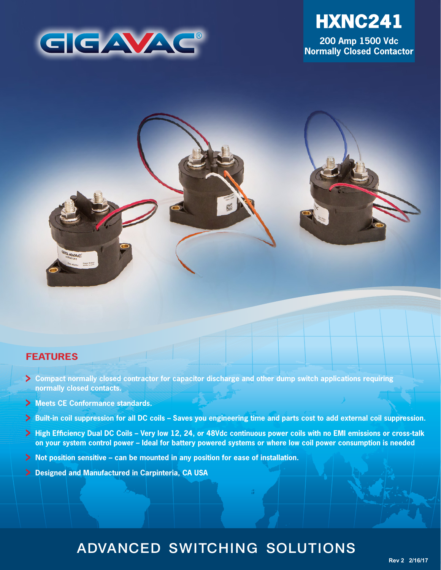



**200 Amp 1500 Vdc Normally Closed Contactor**



### **FEATURES**

- **Compact normally closed contractor for capacitor discharge and other dump switch applications requiring normally closed contacts.**
- **Meets CE Conformance standards.**
- **Built-in coil suppression for all DC coils Saves you engineering time and parts cost to add external coil suppression.**
- **High Efficiency Dual DC Coils Very low 12, 24, or 48Vdc continuous power coils with no EMI emissions or cross-talk on your system control power – Ideal for battery powered systems or where low coil power consumption is needed**
- **Not position sensitive can be mounted in any position for ease of installation.**
- **Designed and Manufactured in Carpinteria, CA USA**

# ADVANCED SWITCHING SOLUTIONS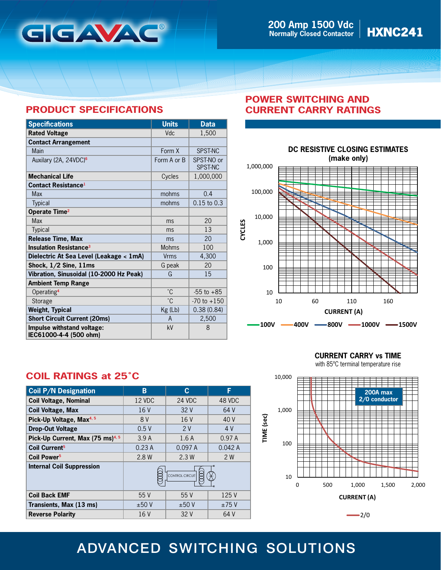

## **PRODUCT SPECIFICATIONS**

| <b>Specifications</b>                                | <b>Units</b> | <b>Data</b>           |
|------------------------------------------------------|--------------|-----------------------|
| <b>Rated Voltage</b>                                 | Vdc          | 1,500                 |
| <b>Contact Arrangement</b>                           |              |                       |
| Main                                                 | Form X       | SPST-NC               |
| Auxilary (2A, 24VDC) <sup>6</sup>                    | Form A or B  | SPST-NO or<br>SPST-NC |
| <b>Mechanical Life</b>                               | Cycles       | 1,000,000             |
| <b>Contact Resistance</b> <sup>1</sup>               |              |                       |
| Max                                                  | mohms        | 0.4                   |
| <b>Typical</b>                                       | mohms        | $0.15$ to $0.3$       |
| Operate Time <sup>2</sup>                            |              |                       |
| <b>Max</b>                                           | ms           | 20                    |
| <b>Typical</b>                                       | ms           | 13                    |
| <b>Release Time, Max</b>                             | ms           | 20                    |
| <b>Insulation Resistance<sup>3</sup></b>             | <b>Mohms</b> | 100                   |
| Dielectric At Sea Level (Leakage < 1mA)              | <b>Vrms</b>  | 4,300                 |
| Shock, $1/2$ Sine, $11ms$                            | G peak       | 20                    |
| Vibration, Sinusoidal (10-2000 Hz Peak)              | G            | 15                    |
| <b>Ambient Temp Range</b>                            |              |                       |
| Operating <sup>4</sup>                               | $\degree$ C  | $-55$ to $+85$        |
| Storage                                              | °C           | $-70$ to $+150$       |
| <b>Weight, Typical</b>                               | Kg (Lb)      | 0.38(0.84)            |
| <b>Short Circuit Current (20ms)</b>                  | A            | 2,500                 |
| Impulse withstand voltage:<br>IEC61000-4-4 (500 ohm) | kV           | 8                     |

## **POWER SWITCHING AND CURRENT CARRY RATINGS**



# **COIL RATINGS at 25˚C**

| <b>Coil P/N Designation</b>                  | в               | C.     | F      |
|----------------------------------------------|-----------------|--------|--------|
| <b>Coil Voltage, Nominal</b>                 | 12 VDC          | 24 VDC | 48 VDC |
| <b>Coil Voltage, Max</b>                     | 16 V            | 32V    | 64 V   |
| Pick-Up Voltage, Max <sup>4, 5</sup>         | 8 V             | 16V    | 40 V   |
| <b>Drop-Out Voltage</b>                      | 0.5V            | 2V     | 4 V    |
| Pick-Up Current, Max (75 ms) <sup>4, 5</sup> | 3.9A            | 1.6A   | 0.97A  |
| Coil Current <sup>5</sup>                    | 0.23A           | 0.097A | 0.042A |
| Coil Power <sup>5</sup>                      | 2.8 W           | 2.3W   | 2 W    |
| <b>Internal Coil Suppression</b>             | CONTROL CIRCUIT |        |        |
| <b>Coil Back EMF</b>                         | 55 V            | 55V    | 125 V  |
| Transients, Max (13 ms)                      | ±50V            | ±50V   | ±75V   |
| <b>Reverse Polarity</b>                      | 16 V            | 32 V   | 64 V   |

**CURRENT CARRY vs TIME**

with 85ºC terminal temperature rise



# ADVANCED SWITCHING SOLUTIONS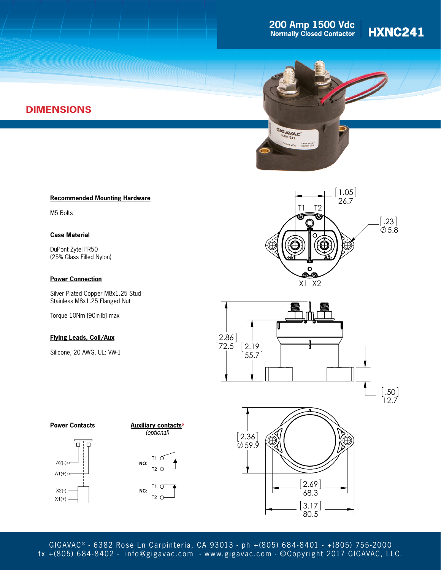# **200 Amp 1500 Vdc**<br>Normally Closed Contactor | **HXNC241**





### **Recommended Mounting Hardware**

M5 Bolts

**DIMENSIONS**

### **Case Material**

DuPont Zytel FR50 (25% Glass Filled Nylon)

### **Power Connection**

Silver Plated Copper M8x1.25 Stud Stainless M8x1.25 Flanged Nut

Torque 10Nm [90in-lb] max

### **Flying Leads, Coil/Aux**

Silicone, 20 AWG, UL: VW-1











GIGAVAC<sup>®</sup> - 6382 Rose Ln Carpinteria, CA 93013 - ph +(805) 684-8401 - +(805) 755-2000 fx +(805) 684-8402 - info@gigavac.com - www.gigavac.com - ©Copyright 2017 GIGAVAC, LLC.